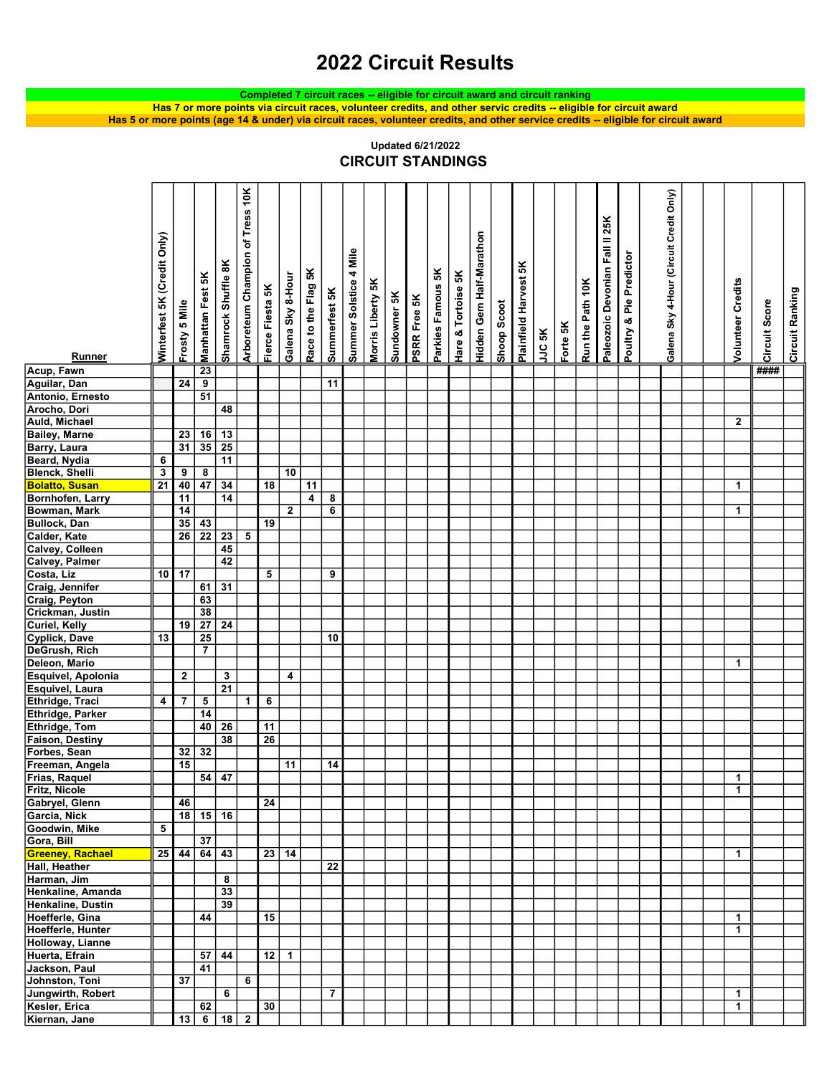## 2022 Circuit Results

Completed 7 circuit races -- eligible for circuit award and circuit ranking

Has 5 or more points (age 14 & under) via circuit races, volunteer credits, and other service credits -- eligible for circuit award Has 7 or more points via circuit races, volunteer credits, and other servic credits -- eligible for circuit award

|                                                                                                                                                                                                                                                                                | Winterfest 5K (Credit Only) |                                 | Manhattan Fest 5K                                           | Shamrock Shuffle 8K                                                        | Arboreteum Champion of Tress 10K | Fierce Fiesta 5K | Galena Sky 8-Hour            | Race to the Flag 5K | Summerfest 5K                | Summer Solstice 4 Mile | Morris Liberty 5K |              |              | Parkies Famous 5K | Hare & Tortoise 5K | Hidden Gem Half-Marathon |             | Plainfield Harvest 5K |        |          | Run the Path 10K | Paleozoic Devonian Fall II 25K | Poultry & Pie Predictor | Galena Sky 4-Hour (Circuit Credit Only) | <b>Volunteer Credits</b> |               | Circuit Ranking |  |
|--------------------------------------------------------------------------------------------------------------------------------------------------------------------------------------------------------------------------------------------------------------------------------|-----------------------------|---------------------------------|-------------------------------------------------------------|----------------------------------------------------------------------------|----------------------------------|------------------|------------------------------|---------------------|------------------------------|------------------------|-------------------|--------------|--------------|-------------------|--------------------|--------------------------|-------------|-----------------------|--------|----------|------------------|--------------------------------|-------------------------|-----------------------------------------|--------------------------|---------------|-----------------|--|
|                                                                                                                                                                                                                                                                                |                             | Frosty 5 Mile                   |                                                             |                                                                            |                                  |                  |                              |                     |                              |                        |                   | Sundowner 5K | PSRR Free 5K |                   |                    |                          | Shoop Scoot |                       |        |          |                  |                                |                         |                                         |                          | Circuit Score |                 |  |
|                                                                                                                                                                                                                                                                                |                             |                                 |                                                             |                                                                            |                                  |                  |                              |                     |                              |                        |                   |              |              |                   |                    |                          |             |                       |        | Forte 5K |                  |                                |                         |                                         |                          |               |                 |  |
|                                                                                                                                                                                                                                                                                |                             |                                 |                                                             |                                                                            |                                  |                  |                              |                     |                              |                        |                   |              |              |                   |                    |                          |             |                       | JJC 5K |          |                  |                                |                         |                                         |                          |               |                 |  |
| Runner                                                                                                                                                                                                                                                                         |                             |                                 |                                                             |                                                                            |                                  |                  |                              |                     |                              |                        |                   |              |              |                   |                    |                          |             |                       |        |          |                  |                                |                         |                                         |                          |               |                 |  |
|                                                                                                                                                                                                                                                                                |                             | $\overline{24}$                 | $\overline{23}$<br>$\overline{9}$                           |                                                                            |                                  |                  |                              |                     | $\overline{11}$              |                        |                   |              |              |                   |                    |                          |             |                       |        |          |                  |                                |                         |                                         |                          | ####          |                 |  |
|                                                                                                                                                                                                                                                                                |                             |                                 | $\overline{51}$                                             |                                                                            |                                  |                  |                              |                     |                              |                        |                   |              |              |                   |                    |                          |             |                       |        |          |                  |                                |                         |                                         |                          |               |                 |  |
|                                                                                                                                                                                                                                                                                |                             |                                 |                                                             | 48                                                                         |                                  |                  |                              |                     |                              |                        |                   |              |              |                   |                    |                          |             |                       |        |          |                  |                                |                         |                                         |                          |               |                 |  |
|                                                                                                                                                                                                                                                                                |                             |                                 |                                                             |                                                                            |                                  |                  |                              |                     |                              |                        |                   |              |              |                   |                    |                          |             |                       |        |          |                  |                                |                         |                                         | $\mathbf{2}$             |               |                 |  |
| Acup, Fawn<br>Aguilar, Dan<br>Antonio, Ernesto<br>Arocho, Dori<br>Aud, Michael<br>Bailey, Marne<br>Barry, Laura<br>Beard, Nydia<br>Beard, Nydia<br>Beard, Nydia<br>Beard, Nydia<br>Bomhofen, Larry<br>Bowman, Mark<br>Calder, Kate<br>Caldey, Palmer<br>Costa, Liz<br>Craig, J |                             | $\frac{23}{31}$                 | $\frac{16}{35}$                                             | $\frac{13}{25}$                                                            |                                  |                  |                              |                     |                              |                        |                   |              |              |                   |                    |                          |             |                       |        |          |                  |                                |                         |                                         |                          |               |                 |  |
|                                                                                                                                                                                                                                                                                |                             |                                 |                                                             |                                                                            |                                  |                  |                              |                     |                              |                        |                   |              |              |                   |                    |                          |             |                       |        |          |                  |                                |                         |                                         |                          |               |                 |  |
|                                                                                                                                                                                                                                                                                | 6                           |                                 |                                                             | $\overline{11}$                                                            |                                  |                  |                              |                     |                              |                        |                   |              |              |                   |                    |                          |             |                       |        |          |                  |                                |                         |                                         |                          |               |                 |  |
|                                                                                                                                                                                                                                                                                | $\overline{\mathbf{3}}$     | $\frac{9}{40}$                  | $\frac{8}{47}$                                              |                                                                            |                                  |                  | $\overline{10}$              |                     |                              |                        |                   |              |              |                   |                    |                          |             |                       |        |          |                  |                                |                         |                                         |                          |               |                 |  |
|                                                                                                                                                                                                                                                                                | $\overline{21}$             |                                 |                                                             | $\frac{34}{14}$                                                            |                                  | $\overline{18}$  |                              | $\overline{11}$     |                              |                        |                   |              |              |                   |                    |                          |             |                       |        |          |                  |                                |                         |                                         | $\mathbf{1}$             |               |                 |  |
|                                                                                                                                                                                                                                                                                |                             | $\overline{11}$                 |                                                             |                                                                            |                                  |                  |                              | 4                   | 8<br>$\overline{\mathbf{6}}$ |                        |                   |              |              |                   |                    |                          |             |                       |        |          |                  |                                |                         |                                         | $\mathbf{1}$             |               |                 |  |
|                                                                                                                                                                                                                                                                                |                             | $\frac{14}{35}$ $\frac{35}{26}$ | 43                                                          |                                                                            |                                  | $\overline{19}$  | $\boldsymbol{2}$             |                     |                              |                        |                   |              |              |                   |                    |                          |             |                       |        |          |                  |                                |                         |                                         |                          |               |                 |  |
|                                                                                                                                                                                                                                                                                |                             |                                 | $\overline{22}$                                             |                                                                            |                                  |                  |                              |                     |                              |                        |                   |              |              |                   |                    |                          |             |                       |        |          |                  |                                |                         |                                         |                          |               |                 |  |
|                                                                                                                                                                                                                                                                                |                             |                                 |                                                             | $\begin{array}{ c c }\n\hline\n23 & 5 \\ \hline\n45 & \hline\n\end{array}$ |                                  |                  |                              |                     |                              |                        |                   |              |              |                   |                    |                          |             |                       |        |          |                  |                                |                         |                                         |                          |               |                 |  |
|                                                                                                                                                                                                                                                                                |                             |                                 |                                                             | $\overline{42}$                                                            |                                  |                  |                              |                     |                              |                        |                   |              |              |                   |                    |                          |             |                       |        |          |                  |                                |                         |                                         |                          |               |                 |  |
|                                                                                                                                                                                                                                                                                | 10                          | $\overline{17}$                 |                                                             |                                                                            |                                  | 5                |                              |                     | 9                            |                        |                   |              |              |                   |                    |                          |             |                       |        |          |                  |                                |                         |                                         |                          |               |                 |  |
|                                                                                                                                                                                                                                                                                |                             |                                 | 61                                                          | $\overline{31}$                                                            |                                  |                  |                              |                     |                              |                        |                   |              |              |                   |                    |                          |             |                       |        |          |                  |                                |                         |                                         |                          |               |                 |  |
|                                                                                                                                                                                                                                                                                |                             |                                 |                                                             |                                                                            |                                  |                  |                              |                     |                              |                        |                   |              |              |                   |                    |                          |             |                       |        |          |                  |                                |                         |                                         |                          |               |                 |  |
|                                                                                                                                                                                                                                                                                |                             |                                 | $\begin{array}{r} 63 \\ \hline 38 \\ \hline 27 \end{array}$ |                                                                            |                                  |                  |                              |                     |                              |                        |                   |              |              |                   |                    |                          |             |                       |        |          |                  |                                |                         |                                         |                          |               |                 |  |
|                                                                                                                                                                                                                                                                                |                             | 19                              |                                                             | 24                                                                         |                                  |                  |                              |                     |                              |                        |                   |              |              |                   |                    |                          |             |                       |        |          |                  |                                |                         |                                         |                          |               |                 |  |
|                                                                                                                                                                                                                                                                                | 13                          |                                 | 25                                                          |                                                                            |                                  |                  |                              |                     | 10                           |                        |                   |              |              |                   |                    |                          |             |                       |        |          |                  |                                |                         |                                         |                          |               |                 |  |
|                                                                                                                                                                                                                                                                                |                             |                                 | $\overline{7}$                                              |                                                                            |                                  |                  |                              |                     |                              |                        |                   |              |              |                   |                    |                          |             |                       |        |          |                  |                                |                         |                                         |                          |               |                 |  |
|                                                                                                                                                                                                                                                                                |                             |                                 |                                                             |                                                                            |                                  |                  |                              |                     |                              |                        |                   |              |              |                   |                    |                          |             |                       |        |          |                  |                                |                         |                                         | $\mathbf{1}$             |               |                 |  |
|                                                                                                                                                                                                                                                                                |                             | $\overline{2}$                  |                                                             | $\overline{\mathbf{3}}$<br>$\overline{21}$                                 |                                  |                  | 4                            |                     |                              |                        |                   |              |              |                   |                    |                          |             |                       |        |          |                  |                                |                         |                                         |                          |               |                 |  |
|                                                                                                                                                                                                                                                                                | 4                           | $\overline{7}$                  |                                                             |                                                                            | $\mathbf{1}$                     | 6                |                              |                     |                              |                        |                   |              |              |                   |                    |                          |             |                       |        |          |                  |                                |                         |                                         |                          |               |                 |  |
|                                                                                                                                                                                                                                                                                |                             |                                 | $\frac{5}{14}$                                              |                                                                            |                                  |                  |                              |                     |                              |                        |                   |              |              |                   |                    |                          |             |                       |        |          |                  |                                |                         |                                         |                          |               |                 |  |
|                                                                                                                                                                                                                                                                                |                             |                                 | 40                                                          | $\overline{26}$                                                            |                                  | 11               |                              |                     |                              |                        |                   |              |              |                   |                    |                          |             |                       |        |          |                  |                                |                         |                                         |                          |               |                 |  |
|                                                                                                                                                                                                                                                                                |                             |                                 |                                                             | $\overline{38}$                                                            |                                  | $\overline{26}$  |                              |                     |                              |                        |                   |              |              |                   |                    |                          |             |                       |        |          |                  |                                |                         |                                         |                          |               |                 |  |
| Forbes, Sean                                                                                                                                                                                                                                                                   |                             |                                 | 32                                                          |                                                                            |                                  |                  |                              |                     |                              |                        |                   |              |              |                   |                    |                          |             |                       |        |          |                  |                                |                         |                                         |                          |               |                 |  |
| Freeman, Angela<br>Frias, Raquel                                                                                                                                                                                                                                               |                             | $\frac{32}{15}$                 |                                                             |                                                                            |                                  |                  | 11                           |                     | 14                           |                        |                   |              |              |                   |                    |                          |             |                       |        |          |                  |                                |                         |                                         |                          |               |                 |  |
|                                                                                                                                                                                                                                                                                |                             |                                 |                                                             | $54 \mid 47$                                                               |                                  |                  |                              |                     |                              |                        |                   |              |              |                   |                    |                          |             |                       |        |          |                  |                                |                         |                                         |                          |               |                 |  |
| Fritz, Nicole                                                                                                                                                                                                                                                                  |                             |                                 |                                                             |                                                                            |                                  |                  |                              |                     |                              |                        |                   |              |              |                   |                    |                          |             |                       |        |          |                  |                                |                         |                                         | $\mathbf{1}$             |               |                 |  |
| Gabryel, Glenn                                                                                                                                                                                                                                                                 |                             | 46                              |                                                             |                                                                            |                                  | $\overline{24}$  |                              |                     |                              |                        |                   |              |              |                   |                    |                          |             |                       |        |          |                  |                                |                         |                                         |                          |               |                 |  |
| Garcia, Nick                                                                                                                                                                                                                                                                   |                             |                                 |                                                             | $18$ 15 16                                                                 |                                  |                  |                              |                     |                              |                        |                   |              |              |                   |                    |                          |             |                       |        |          |                  |                                |                         |                                         |                          |               |                 |  |
| Goodwin, Mike                                                                                                                                                                                                                                                                  | $5\phantom{.0}$             |                                 |                                                             |                                                                            |                                  |                  |                              |                     |                              |                        |                   |              |              |                   |                    |                          |             |                       |        |          |                  |                                |                         |                                         |                          |               |                 |  |
| Gora, Bill<br>Greeney, Rachael                                                                                                                                                                                                                                                 |                             | $\boxed{25}$ 44                 | $\overline{37}$                                             | $64 \mid 43$                                                               |                                  |                  | $\boxed{23}$<br>$\boxed{14}$ |                     |                              |                        |                   |              |              |                   |                    |                          |             |                       |        |          |                  |                                |                         |                                         | $\mathbf{1}$             |               |                 |  |
| Hall, Heather                                                                                                                                                                                                                                                                  |                             |                                 |                                                             |                                                                            |                                  |                  |                              |                     | $\overline{22}$              |                        |                   |              |              |                   |                    |                          |             |                       |        |          |                  |                                |                         |                                         |                          |               |                 |  |
| Harman, Jim                                                                                                                                                                                                                                                                    |                             |                                 |                                                             | 8                                                                          |                                  |                  |                              |                     |                              |                        |                   |              |              |                   |                    |                          |             |                       |        |          |                  |                                |                         |                                         |                          |               |                 |  |
| Henkaline, Amanda                                                                                                                                                                                                                                                              |                             |                                 |                                                             | 33                                                                         |                                  |                  |                              |                     |                              |                        |                   |              |              |                   |                    |                          |             |                       |        |          |                  |                                |                         |                                         |                          |               |                 |  |
| Henkaline, Dustin                                                                                                                                                                                                                                                              |                             |                                 |                                                             | 39                                                                         |                                  |                  |                              |                     |                              |                        |                   |              |              |                   |                    |                          |             |                       |        |          |                  |                                |                         |                                         |                          |               |                 |  |
| Hoefferle, Gina                                                                                                                                                                                                                                                                |                             |                                 | 44                                                          |                                                                            |                                  | 15               |                              |                     |                              |                        |                   |              |              |                   |                    |                          |             |                       |        |          |                  |                                |                         |                                         | $\mathbf{1}$             |               |                 |  |
| Hoefferle, Hunter                                                                                                                                                                                                                                                              |                             |                                 |                                                             |                                                                            |                                  |                  |                              |                     |                              |                        |                   |              |              |                   |                    |                          |             |                       |        |          |                  |                                |                         |                                         | $\mathbf{1}$             |               |                 |  |
| Holloway, Lianne                                                                                                                                                                                                                                                               |                             |                                 |                                                             |                                                                            |                                  |                  |                              |                     |                              |                        |                   |              |              |                   |                    |                          |             |                       |        |          |                  |                                |                         |                                         |                          |               |                 |  |
| Huerta, Efrain                                                                                                                                                                                                                                                                 |                             |                                 | 57                                                          | 44                                                                         |                                  |                  | $12$ 1                       |                     |                              |                        |                   |              |              |                   |                    |                          |             |                       |        |          |                  |                                |                         |                                         |                          |               |                 |  |
| Jackson, Paul                                                                                                                                                                                                                                                                  |                             |                                 | 41                                                          |                                                                            |                                  |                  |                              |                     |                              |                        |                   |              |              |                   |                    |                          |             |                       |        |          |                  |                                |                         |                                         |                          |               |                 |  |
| Johnston, Toni                                                                                                                                                                                                                                                                 |                             | 37                              |                                                             |                                                                            | 6                                |                  |                              |                     |                              |                        |                   |              |              |                   |                    |                          |             |                       |        |          |                  |                                |                         |                                         |                          |               |                 |  |
| Jungwirth, Robert                                                                                                                                                                                                                                                              |                             |                                 |                                                             | 6                                                                          |                                  |                  |                              |                     | $\overline{7}$               |                        |                   |              |              |                   |                    |                          |             |                       |        |          |                  |                                |                         |                                         | $\mathbf{1}$             |               |                 |  |
| Kesler, Erica<br>Kiernan, Jane                                                                                                                                                                                                                                                 |                             |                                 | 62                                                          |                                                                            |                                  | 30               |                              |                     |                              |                        |                   |              |              |                   |                    |                          |             |                       |        |          |                  |                                |                         |                                         | $\mathbf{1}$             |               |                 |  |
|                                                                                                                                                                                                                                                                                |                             |                                 |                                                             | $13 \mid 6 \mid 18 \mid 2$                                                 |                                  |                  |                              |                     |                              |                        |                   |              |              |                   |                    |                          |             |                       |        |          |                  |                                |                         |                                         |                          |               |                 |  |

CIRCUIT STANDINGS Updated 6/21/2022